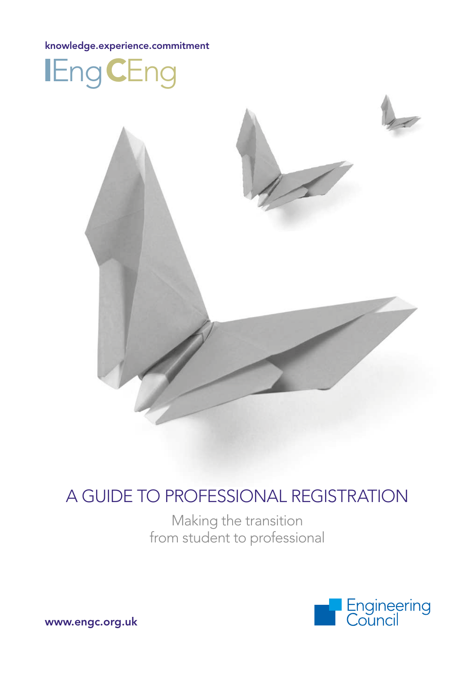#### knowledge.experience.commitment



## A GUIDE TO PROFESSIONAL REGISTRATION

Making the transition from student to professional



[www.engc.org.uk](http://www.engc.org.uk)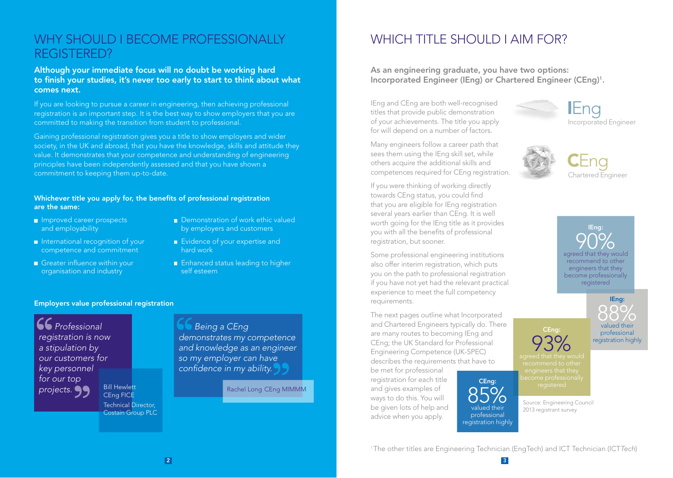## WHY SHOULD LBECOME PROFESSIONALLY REGISTERED?

Although your immediate focus will no doubt be working hard to finish your studies, it's never too early to start to think about what comes next.

If you are looking to pursue a career in engineering, then achieving professional registration is an important step. It is the best way to show employers that you are committed to making the transition from student to professional.

Gaining professional registration gives you a title to show employers and wider society, in the UK and abroad, that you have the knowledge, skills and attitude they value. It demonstrates that your competence and understanding of engineering principles have been independently assessed and that you have shown a commitment to keeping them up-to-date.

#### Whichever title you apply for, the benefits of professional registration are the same:

- **Improved career prospects** and employability
- Demonstration of work ethic valued by employers and customers
- **International recognition of your** competence and commitment
- Greater influence within your organisation and industry
- **Exidence of your expertise and** hard work
- **Enhanced status leading to higher** self esteem

#### Employers value professional registration

*Professional registration is now a stipulation by our customers for key personnel for our top*  **projects. 99 66**<br>
regi<br>
a sti Bill Hewlett CEng FICE Technical Director,

*Being a CEng demonstrates my competence and knowledge as an engineer so my employer can have*  **SC**<br>dem<br>and

*confidence in my ability.* n my ability.<br>The my ability.<br><sup>Rachel</sup> Long CEng MIMMM

## WHICH TITLE SHOULD LAIM FOR?

As an engineering graduate, you have two options: Incorporated Engineer (IEng) or Chartered Engineer (CEng)1.

IEng and CEng are both well-recognised titles that provide public demonstration of your achievements. The title you apply for will depend on a number of factors.

Many engineers follow a career path that sees them using the IEng skill set, while others acquire the additional skills and competences required for CEng registration.

If you were thinking of working directly towards CEng status, you could find that you are eligible for IEng registration several years earlier than CEng. It is well worth going for the IEng title as it provides you with all the benefits of professional registration, but sooner.

Some professional engineering institutions also offer interim registration, which puts you on the path to professional registration if you have not yet had the relevant practical experience to meet the full competency requirements.

The next pages outline what Incorporated and Chartered Engineers typically do. There are many routes to becoming IEng and CEng; the UK Standard for Professional Engineering Competence (UK-SPEC) describes the requirements that have to

be met for professional registration for each title and gives examples of ways to do this. You will be given lots of help and advice when you apply.

**IEng** Incorporated Engineer



IEng: **90%**<br>agreed that they would recommend to other engineers that they become professionally registered

> IEng: 88% valued their professional

registration highly



**CEng:** Pecome protessing

Source: Engineering Council 2013 registrant survey

1The other titles are Engineering Technician (EngTech) and ICT Technician (ICT*Tech*)

Costain Group PLC

 $QFO/$ 

valued their professional registration highly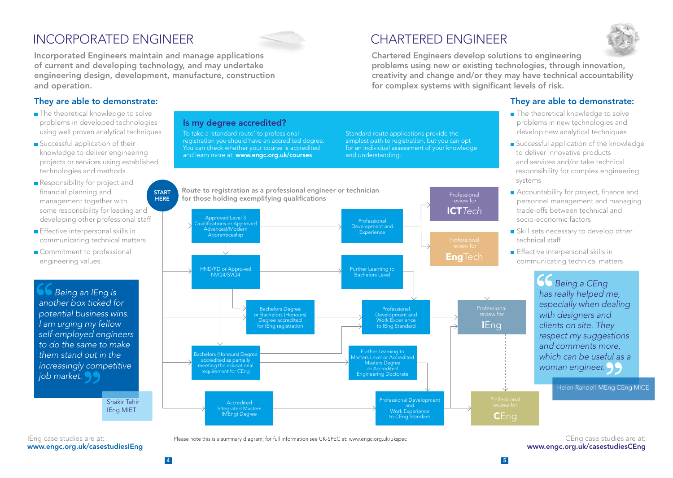## INCORPORATED ENGINEER

Incorporated Engineers maintain and manage applications of current and developing technology, and may undertake engineering design, development, manufacture, construction and operation.

### They are able to demonstrate:

- The theoretical knowledge to solve problems in developed technologies using well proven analytical techniques
- Successful application of their knowledge to deliver engineering projects or services using established technologies and methods
- Responsibility for project and financial planning and management together with some responsibility for leading and developing other professional staff
- **Effective interpersonal skills in** communicating technical matters
- Commitment to professional engineering values.



Shakir Tahir IEng MIET

#### IEng case studies are at: www.engc.org.uk/casestudiesIEng

Is my degree accredited?

To take a 'standard route' to professional registration you should have an accredited degree. You can check whether your course is accredited and learn more at: www.engc.org.uk/courses.

Standard route applications provide the simplest path to registration, but you can opt for an individual assessment of your knowledge and understanding.



Please note this is a summary diagram; for full information see UK-SPEC at: www.engc.org.uk/ukspec

## CHARTERED ENGINEER



Chartered Engineers develop solutions to engineering problems using new or existing technologies, through innovation, creativity and change and/or they may have technical accountability for complex systems with significant levels of risk.

### They are able to demonstrate:

- $\blacksquare$  The theoretical knowledge to solve problems in new technologies and develop new analytical techniques
- Successful application of the knowledge to deliver innovative products and services and/or take technical responsibility for complex engineering systems
- **Accountability for project, finance and** personnel management and managing trade-offs between technical and socio-economic factors
- Skill sets necessary to develop other
- **Effective interpersonal skills in** communicating technical matters.

*Being a CEng has really helped me, especially when dealing with designers and clients on site. They respect my suggestions and comments more, which can be useful as a woman engineer.*

Helen Randell MEng CEng MICE

CEng case studies are at: www.engc.org.uk/casestudiesCEng

 $\frac{4}{5}$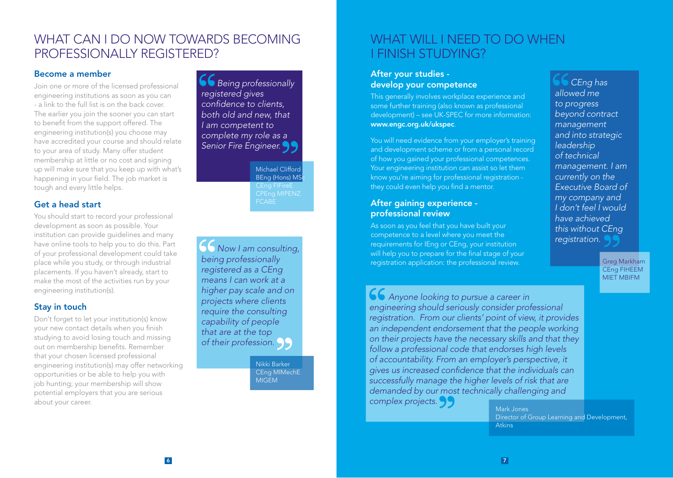## WHAT CAN I DO NOW TOWARDS BECOMING PROFESSIONALLY REGISTERED?

#### Become a member

Join one or more of the licensed professional engineering institutions as soon as you can - a link to the full list is on the back cover. The earlier you join the sooner you can start to benefit from the support offered. The engineering institution(s) you choose may have accredited your course and should relate to your area of study. Many offer student membership at little or no cost and signing up will make sure that you keep up with what's happening in your field. The job market is tough and every little helps.

### Get a head start

You should start to record your professional development as soon as possible. Your institution can provide guidelines and many have online tools to help you to do this. Part of your professional development could take place while you study, or through industrial placements. If you haven't already, start to make the most of the activities run by your engineering institution(s).

### Stay in touch

Don't forget to let your institution(s) know your new contact details when you finish studying to avoid losing touch and missing out on membership benefits. Remember that your chosen licensed professional engineering institution(s) may offer networking opportunities or be able to help you with job hunting; your membership will show potential employers that you are serious about your career.

*Being professionally registered gives confidence to clients, both old and new, that I am competent to complete my role as a Senior Fire Engineer.* **''**  $\begin{bmatrix} 66 \\ \text{regi} \\ \text{con} \end{bmatrix}$ 

Michael Clifford BEng (Hons) MS CEng FIFireE FCABE

*Now I am consulting, being professionally registered as a CEng means I can work at a higher pay scale and on projects where clients require the consulting capability of people that are at the top*  of their profession.<br>
Nikki Barker<br>
CEDG MIMed  $\begin{array}{c} \mathsf{SG} \\ \mathsf{beir} \\ \mathsf{regi} \end{array}$ 

Nikki Barker CEng MIMechE **MIGEM** 

## WHAT WILL I NEED TO DO WHEN I FINISH STUDYING?

### After your studies develop your competence

This generally involves workplace experience and some further training (also known as professional development) – see UK-SPEC for more information: www.engc.org.uk/ukspec.

You will need evidence from your employer's training and development scheme or from a personal record of how you gained your professional competences. Your engineering institution can assist so let them know you're aiming for professional registration they could even help you find a mentor.

#### After gaining experience professional review

As soon as you feel that you have built your competence to a level where you meet the requirements for IEng or CEng, your institution will help you to prepare for the final stage of your registration application: the professional review.

*CEng has allowed me*  **for** *t c Eng h allowed me* to *progress beyond contract management and into strategic leadership of technical management. I am currently on the Executive Board of my company and I don't feel I would have achieved this without CEng* 

*registration.*

**SS**<br>Greg Markham<br>CEng FIHEEM CEng FIHEEM MIET MBIFM

*Anyone looking to pursue a career in engineering should seriously consider professional registration. From our clients' point of view, it provides an independent endorsement that the people working on their projects have the necessary skills and that they follow a professional code that endorses high levels of accountability. From an employer's perspective, it gives us increased confidence that the individuals can successfully manage the higher levels of risk that are demanded by our most technically challenging and*  **complex projects.**  $\begin{array}{c} \text{SG} \\ \text{engi} \\ \text{regis} \end{array}$ 

Mark Jones Director of Group Learning and Development, **Atkins**